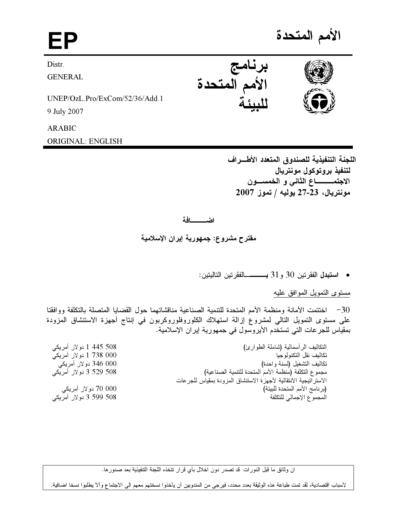الأمم المتحدة

Distr.

GENERAL

UNEP/OzL.Pro/ExCom/52/36/Add.1

9 July 2007

ARABIC

ORIGINAL: ENGLISH

اللجنة التنفيذية للصندوق المتعدد الأطـــراف لتنفيذ بروتوكول مونتريال الاجتمــــــــــــاع الثاني و الـخمســـــون  $2007$  مونتريال، 23-27 يوليه / تموز

اضـــــــافة

مقترح مشروع: جمهورية إيران الإسلامية

● ا**ستبدل** الفقرتين 30 و31 بــــــــــالفقرتين التاليتين:

<u>مستوى التمويل الموافق عليه</u>

30 – اختتمت الأمانة ومنظمة الأمم المتحدة للتنمية الصناعية منافساتهما حول الفضايا المتصلة بالتكلفة ووافقتا على مستوى التمويل التالي لمشروع إزاله استهلاك الكلوروفلوروكربون في إنتاج اجهزة الاستنشاق المزودة بمعياس للجر عات التي تستخدم الايروسول في جمهوريه إير ان الإسلاميه.

| 1 445 508 کولار آمریکی  | النكاليف الرأسمالية (شاملة الطوارئ)                              |
|-------------------------|------------------------------------------------------------------|
| 000 738 1 دو لار أمريكي | تكاليف نقل التكنولوجيا                                           |
| 000 346 دو لار أمريكي   | تكاليف التشغيل (لسنة واحدة)                                      |
| 508 3 529 دولار أمريكي  | مجموع التكلفة (منظمة الأمم المتحدة للتتمية الصناعية)             |
|                         | الاستر اتيجية الانتقالية لأجهزة الاستنشاق المزودة بمقياس للجرعات |
| 70 000 دولار أمريكي     | (برنامج الأمم المتحدة للبيئة)                                    |
| 508 599 3 دولار أمريكي  | المجموع الإجمالي للتكلفة                                         |
|                         |                                                                  |

ان وثائق ما قبل الدورات ً قد تصدر دون اخلال بأي قرار نتخذه اللجنة التنفيذية بعد صدور ها.

لأسباب اقتصادية، لقد تمت طباعة هذه الوثيقة بعدد محدد، فيرجى من المندوبين أن يأخذوا نسختهم معهم الى الاجتماع وألآ يطلبوا نسخا اضافية.



I

EP and the set of the set of the set of the set of the set of the set of the set of the set of the set of the <br>EP and the set of the set of the set of the set of the set of the set of the set of the set of the set of the برنامج

للبيئة

الأمم المتحدة